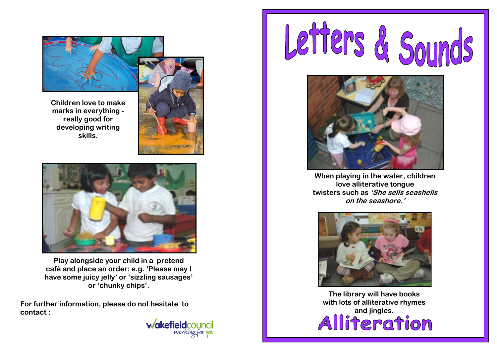

**Children love to make marks in everything really good for developing writing skills.**



**Play alongside your child in a pretend café and place an order: e.g. 'Please may I have some juicy jelly' or 'sizzling sausages' or 'chunky chips'.**

**For further information, please do not hesitate to contact :**







**When playing in the water, children love alliterative tongue twisters such as 'She sells seashells on the seashore.'**



**The library will have books with lots of alliterative rhymes**  and jingles.<br>**Alliteration**